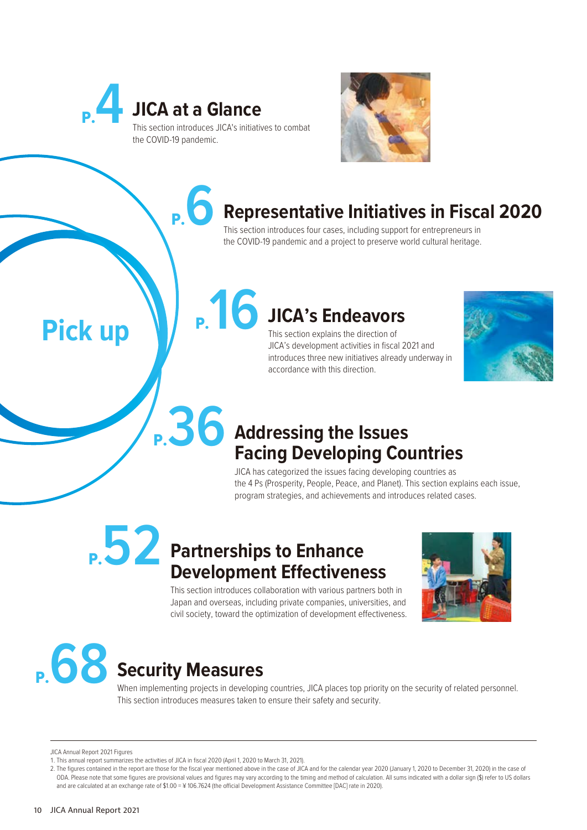



### P.**6 Representative Initiatives in Fiscal 2020**

This section introduces four cases, including support for entrepreneurs in the COVID-19 pandemic and a project to preserve world cultural heritage.

# P.**16 JICA's Endeavors**

This section explains the direction of JICA's development activities in fiscal 2021 and introduces three new initiatives already underway in accordance with this direction.



## P.**36 Addressing the Issues Facing Developing Countries**

JICA has categorized the issues facing developing countries as the 4 Ps (Prosperity, People, Peace, and Planet). This section explains each issue, program strategies, and achievements and introduces related cases.

## P.**52 Partnerships to Enhance Development Effectiveness**

This section introduces collaboration with various partners both in Japan and overseas, including private companies, universities, and civil society, toward the optimization of development effectiveness.



When implementing projects in developing countries, JICA places top priority on the security of related personnel. This section introduces measures taken to ensure their safety and security.

JICA Annual Report 2021 Figures

**Pick up**

<sup>1.</sup> This annual report summarizes the activities of JICA in fiscal 2020 (April 1, 2020 to March 31, 2021).

<sup>2.</sup> The figures contained in the report are those for the fiscal year mentioned above in the case of JICA and for the calendar year 2020 (January 1, 2020 to December 31, 2020) in the case of ODA. Please note that some figures are provisional values and figures may vary according to the timing and method of calculation. All sums indicated with a dollar sign (\$) refer to US dollars and are calculated at an exchange rate of \$1.00 = ¥ 106.7624 (the official Development Assistance Committee [DAC] rate in 2020).